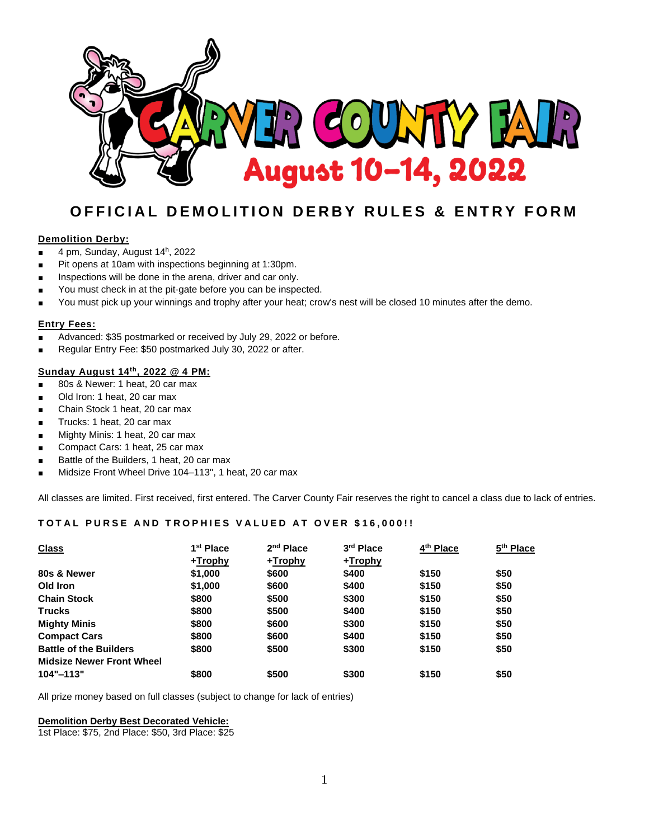

# **OFFICIAL DEMOLITION DERBY RULES & ENTRY FORM**

### **Demolition Derby:**

- 4 pm, Sunday, August 14<sup>h</sup>, 2022
- **■** Pit opens at 10am with inspections beginning at 1:30pm.
- Inspections will be done in the arena, driver and car only.
- You must check in at the pit-gate before you can be inspected.
- You must pick up your winnings and trophy after your heat; crow's nest will be closed 10 minutes after the demo.

### **Entry Fees:**

- Advanced: \$35 postmarked or received by July 29, 2022 or before.
- **■** Regular Entry Fee: \$50 postmarked July 30, 2022 or after.

### **Sunday August 14 th, 2022 @ 4 PM:**

- **■** 80s & Newer: 1 heat, 20 car max
- Old Iron: 1 heat, 20 car max
- Chain Stock 1 heat, 20 car max
- **■** Trucks: 1 heat, 20 car max
- Mighty Minis: 1 heat, 20 car max
- Compact Cars: 1 heat, 25 car max
- Battle of the Builders, 1 heat, 20 car max
- **■** Midsize Front Wheel Drive 104–113", 1 heat, 20 car max

All classes are limited. First received, first entered. The Carver County Fair reserves the right to cancel a class due to lack of entries.

### **T O T A L P U R S E A N D T R O P H I E S V A L U E D A T O V E R \$ 16,000 ! !**

| <b>Class</b>                     | 1 <sup>st</sup> Place | $2nd$ Place | 3rd Place | 4 <sup>th</sup> Place | 5 <sup>th</sup> Place |
|----------------------------------|-----------------------|-------------|-----------|-----------------------|-----------------------|
|                                  | +Trophy               | +Trophy     | +Trophy   |                       |                       |
| 80s & Newer                      | \$1,000               | \$600       | \$400     | \$150                 | \$50                  |
| Old Iron                         | \$1,000               | \$600       | \$400     | \$150                 | \$50                  |
| <b>Chain Stock</b>               | \$800                 | \$500       | \$300     | \$150                 | \$50                  |
| <b>Trucks</b>                    | \$800                 | \$500       | \$400     | \$150                 | \$50                  |
| <b>Mighty Minis</b>              | \$800                 | \$600       | \$300     | \$150                 | \$50                  |
| <b>Compact Cars</b>              | \$800                 | \$600       | \$400     | \$150                 | \$50                  |
| <b>Battle of the Builders</b>    | \$800                 | \$500       | \$300     | \$150                 | \$50                  |
| <b>Midsize Newer Front Wheel</b> |                       |             |           |                       |                       |
| $104" - 113"$                    | \$800                 | \$500       | \$300     | \$150                 | \$50                  |

All prize money based on full classes (subject to change for lack of entries)

#### **Demolition Derby Best Decorated Vehicle:**

1st Place: \$75, 2nd Place: \$50, 3rd Place: \$25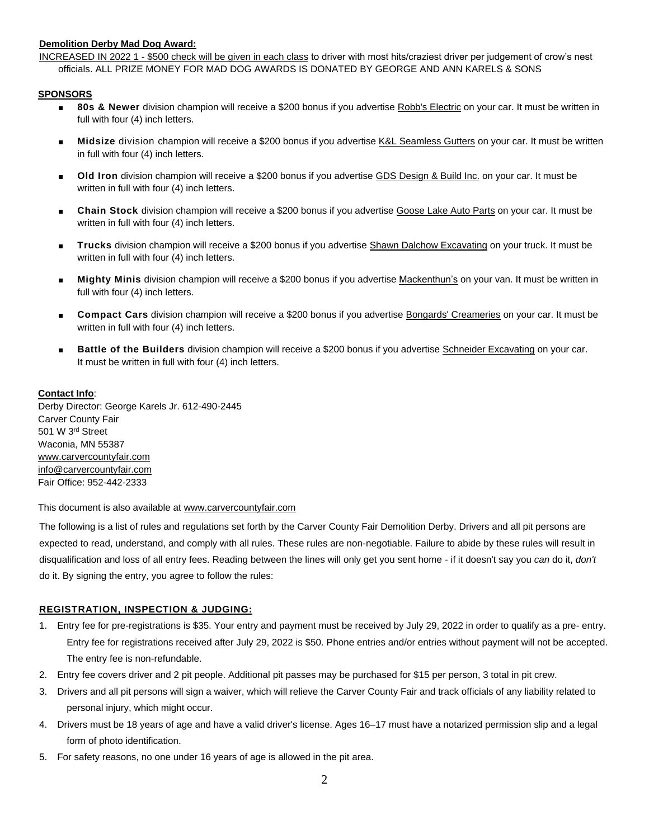### **Demolition Derby Mad Dog Award:**

INCREASED IN 2022 1 - \$500 check will be given in each class to driver with most hits/craziest driver per judgement of crow's nest officials. ALL PRIZE MONEY FOR MAD DOG AWARDS IS DONATED BY GEORGE AND ANN KARELS & SONS

#### **SPONSORS**

- **80s & Newer** division champion will receive a \$200 bonus if you advertise Robb's Electric on your car. It must be written in full with four (4) inch letters.
- **■ Midsize** division champion will receive a \$200 bonus if you advertise K&L Seamless Gutters on your car. It must be written in full with four (4) inch letters.
- **Old Iron** division champion will receive a \$200 bonus if you advertise GDS Design & Build Inc. on your car. It must be written in full with four (4) inch letters.
- **■ Chain Stock** division champion will receive a \$200 bonus if you advertise Goose Lake Auto Parts on your car. It must be written in full with four (4) inch letters.
- **■ Trucks** division champion will receive a \$200 bonus if you advertise Shawn Dalchow Excavating on your truck. It must be written in full with four (4) inch letters.
- **■ Mighty Minis** division champion will receive a \$200 bonus if you advertise Mackenthun's on your van. It must be written in full with four (4) inch letters.
- **■ Compact Cars** division champion will receive a \$200 bonus if you advertise Bongards' Creameries on your car. It must be written in full with four (4) inch letters.
- **Battle of the Builders** division champion will receive a \$200 bonus if you advertise Schneider Excavating on your car. It must be written in full with four (4) inch letters.

### **Contact Info**:

Derby Director: George Karels Jr. 612-490-2445 Carver County Fair 501 W 3rd Street Waconia, MN 55387 [www.carvercountyfair.com](http://www.carvercountyfair.com/) [info@carvercountyfair.com](mailto:info@carvercountyfair.com) Fair Office: 952-442-2333

### This document is also available at [www.carvercountyfair.com](http://www.carvercountyfair.com/)

The following is a list of rules and regulations set forth by the Carver County Fair Demolition Derby. Drivers and all pit persons are expected to read, understand, and comply with all rules. These rules are non-negotiable. Failure to abide by these rules will result in disqualification and loss of all entry fees. Reading between the lines will only get you sent home - if it doesn't say you *can* do it, *don't* do it. By signing the entry, you agree to follow the rules:

### **REGISTRATION, INSPECTION & JUDGING:**

- 1. Entry fee for pre-registrations is \$35. Your entry and payment must be received by July 29, 2022 in order to qualify as a pre- entry. Entry fee for registrations received after July 29, 2022 is \$50. Phone entries and/or entries without payment will not be accepted. The entry fee is non-refundable.
- 2. Entry fee covers driver and 2 pit people. Additional pit passes may be purchased for \$15 per person, 3 total in pit crew.
- 3. Drivers and all pit persons will sign a waiver, which will relieve the Carver County Fair and track officials of any liability related to personal injury, which might occur.
- 4. Drivers must be 18 years of age and have a valid driver's license. Ages 16–17 must have a notarized permission slip and a legal form of photo identification.
- 5. For safety reasons, no one under 16 years of age is allowed in the pit area.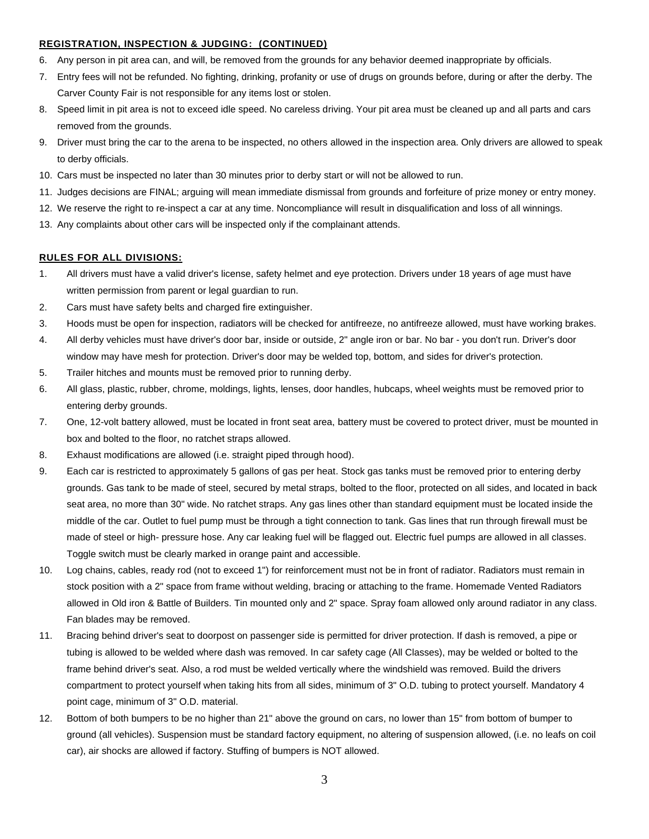#### **REGISTRATION, INSPECTION & JUDGING: (CONTINUED)**

- 6. Any person in pit area can, and will, be removed from the grounds for any behavior deemed inappropriate by officials.
- 7. Entry fees will not be refunded. No fighting, drinking, profanity or use of drugs on grounds before, during or after the derby. The Carver County Fair is not responsible for any items lost or stolen.
- 8. Speed limit in pit area is not to exceed idle speed. No careless driving. Your pit area must be cleaned up and all parts and cars removed from the grounds.
- 9. Driver must bring the car to the arena to be inspected, no others allowed in the inspection area. Only drivers are allowed to speak to derby officials.
- 10. Cars must be inspected no later than 30 minutes prior to derby start or will not be allowed to run.
- 11. Judges decisions are FINAL; arguing will mean immediate dismissal from grounds and forfeiture of prize money or entry money.
- 12. We reserve the right to re-inspect a car at any time. Noncompliance will result in disqualification and loss of all winnings.
- 13. Any complaints about other cars will be inspected only if the complainant attends.

#### **RULES FOR ALL DIVISIONS:**

- 1. All drivers must have a valid driver's license, safety helmet and eye protection. Drivers under 18 years of age must have written permission from parent or legal guardian to run.
- 2. Cars must have safety belts and charged fire extinguisher.
- 3. Hoods must be open for inspection, radiators will be checked for antifreeze, no antifreeze allowed, must have working brakes.
- 4. All derby vehicles must have driver's door bar, inside or outside, 2" angle iron or bar. No bar you don't run. Driver's door window may have mesh for protection. Driver's door may be welded top, bottom, and sides for driver's protection.
- 5. Trailer hitches and mounts must be removed prior to running derby.
- 6. All glass, plastic, rubber, chrome, moldings, lights, lenses, door handles, hubcaps, wheel weights must be removed prior to entering derby grounds.
- 7. One, 12-volt battery allowed, must be located in front seat area, battery must be covered to protect driver, must be mounted in box and bolted to the floor, no ratchet straps allowed.
- 8. Exhaust modifications are allowed (i.e. straight piped through hood).
- 9. Each car is restricted to approximately 5 gallons of gas per heat. Stock gas tanks must be removed prior to entering derby grounds. Gas tank to be made of steel, secured by metal straps, bolted to the floor, protected on all sides, and located in back seat area, no more than 30" wide. No ratchet straps. Any gas lines other than standard equipment must be located inside the middle of the car. Outlet to fuel pump must be through a tight connection to tank. Gas lines that run through firewall must be made of steel or high- pressure hose. Any car leaking fuel will be flagged out. Electric fuel pumps are allowed in all classes. Toggle switch must be clearly marked in orange paint and accessible.
- 10. Log chains, cables, ready rod (not to exceed 1") for reinforcement must not be in front of radiator. Radiators must remain in stock position with a 2" space from frame without welding, bracing or attaching to the frame. Homemade Vented Radiators allowed in Old iron & Battle of Builders. Tin mounted only and 2" space. Spray foam allowed only around radiator in any class. Fan blades may be removed.
- 11. Bracing behind driver's seat to doorpost on passenger side is permitted for driver protection. If dash is removed, a pipe or tubing is allowed to be welded where dash was removed. In car safety cage (All Classes), may be welded or bolted to the frame behind driver's seat. Also, a rod must be welded vertically where the windshield was removed. Build the drivers compartment to protect yourself when taking hits from all sides, minimum of 3" O.D. tubing to protect yourself. Mandatory 4 point cage, minimum of 3" O.D. material.
- 12. Bottom of both bumpers to be no higher than 21" above the ground on cars, no lower than 15" from bottom of bumper to ground (all vehicles). Suspension must be standard factory equipment, no altering of suspension allowed, (i.e. no leafs on coil car), air shocks are allowed if factory. Stuffing of bumpers is NOT allowed.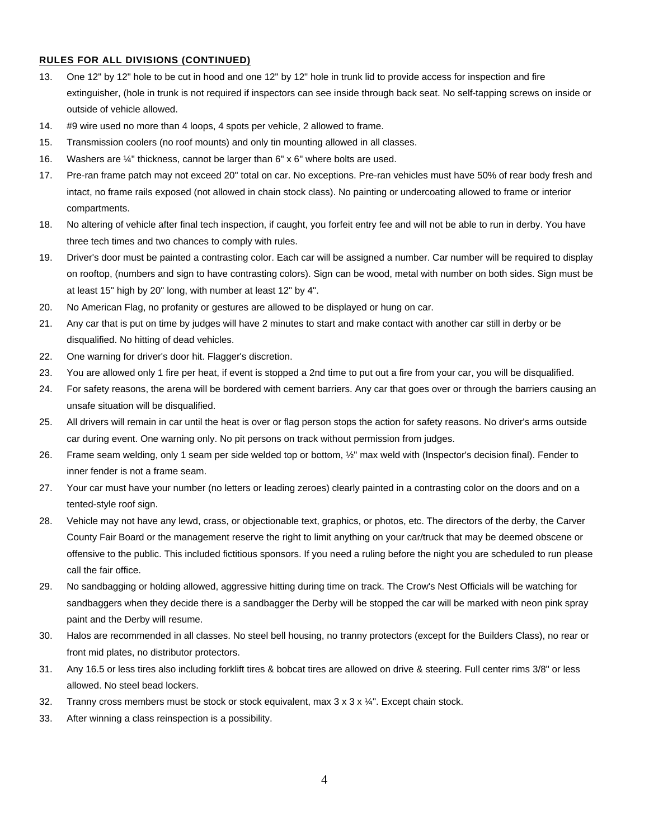### **RULES FOR ALL DIVISIONS (CONTINUED)**

- 13. One 12" by 12" hole to be cut in hood and one 12" by 12" hole in trunk lid to provide access for inspection and fire extinguisher, (hole in trunk is not required if inspectors can see inside through back seat. No self-tapping screws on inside or outside of vehicle allowed.
- 14. #9 wire used no more than 4 loops, 4 spots per vehicle, 2 allowed to frame.
- 15. Transmission coolers (no roof mounts) and only tin mounting allowed in all classes.
- 16. Washers are ¼" thickness, cannot be larger than 6" x 6" where bolts are used.
- 17. Pre-ran frame patch may not exceed 20" total on car. No exceptions. Pre-ran vehicles must have 50% of rear body fresh and intact, no frame rails exposed (not allowed in chain stock class). No painting or undercoating allowed to frame or interior compartments.
- 18. No altering of vehicle after final tech inspection, if caught, you forfeit entry fee and will not be able to run in derby. You have three tech times and two chances to comply with rules.
- 19. Driver's door must be painted a contrasting color. Each car will be assigned a number. Car number will be required to display on rooftop, (numbers and sign to have contrasting colors). Sign can be wood, metal with number on both sides. Sign must be at least 15" high by 20" long, with number at least 12" by 4".
- 20. No American Flag, no profanity or gestures are allowed to be displayed or hung on car.
- 21. Any car that is put on time by judges will have 2 minutes to start and make contact with another car still in derby or be disqualified. No hitting of dead vehicles.
- 22. One warning for driver's door hit. Flagger's discretion.
- 23. You are allowed only 1 fire per heat, if event is stopped a 2nd time to put out a fire from your car, you will be disqualified.
- 24. For safety reasons, the arena will be bordered with cement barriers. Any car that goes over or through the barriers causing an unsafe situation will be disqualified.
- 25. All drivers will remain in car until the heat is over or flag person stops the action for safety reasons. No driver's arms outside car during event. One warning only. No pit persons on track without permission from judges.
- 26. Frame seam welding, only 1 seam per side welded top or bottom, ½" max weld with (Inspector's decision final). Fender to inner fender is not a frame seam.
- 27. Your car must have your number (no letters or leading zeroes) clearly painted in a contrasting color on the doors and on a tented-style roof sign.
- 28. Vehicle may not have any lewd, crass, or objectionable text, graphics, or photos, etc. The directors of the derby, the Carver County Fair Board or the management reserve the right to limit anything on your car/truck that may be deemed obscene or offensive to the public. This included fictitious sponsors. If you need a ruling before the night you are scheduled to run please call the fair office.
- 29. No sandbagging or holding allowed, aggressive hitting during time on track. The Crow's Nest Officials will be watching for sandbaggers when they decide there is a sandbagger the Derby will be stopped the car will be marked with neon pink spray paint and the Derby will resume.
- 30. Halos are recommended in all classes. No steel bell housing, no tranny protectors (except for the Builders Class), no rear or front mid plates, no distributor protectors.
- 31. Any 16.5 or less tires also including forklift tires & bobcat tires are allowed on drive & steering. Full center rims 3/8" or less allowed. No steel bead lockers.
- 32. Tranny cross members must be stock or stock equivalent, max  $3 \times 3 \times 3$ . Except chain stock.
- 33. After winning a class reinspection is a possibility.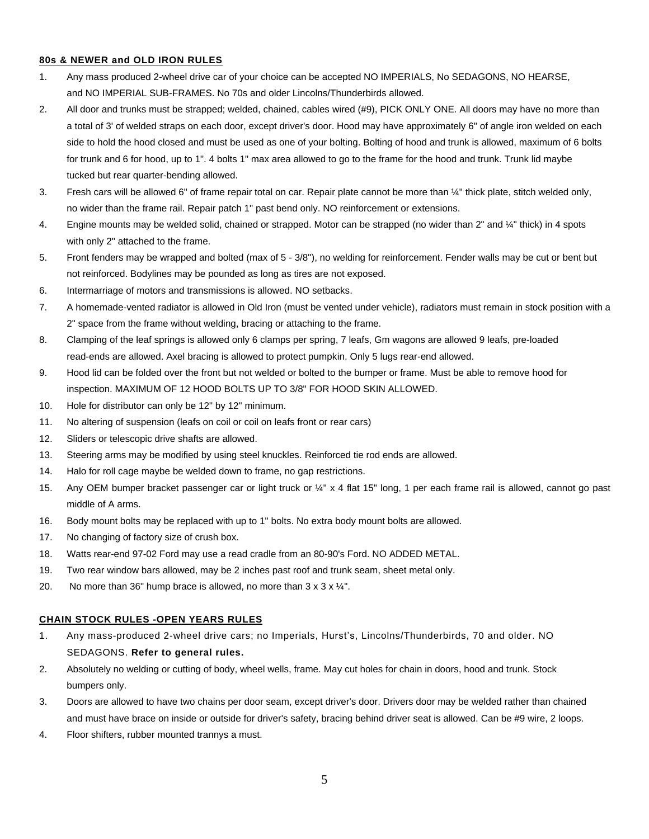#### **80s & NEWER and OLD IRON RULES**

- 1. Any mass produced 2-wheel drive car of your choice can be accepted NO IMPERIALS, No SEDAGONS, NO HEARSE, and NO IMPERIAL SUB-FRAMES. No 70s and older Lincolns/Thunderbirds allowed.
- 2. All door and trunks must be strapped; welded, chained, cables wired (#9), PICK ONLY ONE. All doors may have no more than a total of 3' of welded straps on each door, except driver's door. Hood may have approximately 6" of angle iron welded on each side to hold the hood closed and must be used as one of your bolting. Bolting of hood and trunk is allowed, maximum of 6 bolts for trunk and 6 for hood, up to 1". 4 bolts 1" max area allowed to go to the frame for the hood and trunk. Trunk lid maybe tucked but rear quarter-bending allowed.
- 3. Fresh cars will be allowed 6" of frame repair total on car. Repair plate cannot be more than ¼" thick plate, stitch welded only, no wider than the frame rail. Repair patch 1" past bend only. NO reinforcement or extensions.
- 4. Engine mounts may be welded solid, chained or strapped. Motor can be strapped (no wider than 2" and 1/4" thick) in 4 spots with only 2" attached to the frame.
- 5. Front fenders may be wrapped and bolted (max of 5 3/8"), no welding for reinforcement. Fender walls may be cut or bent but not reinforced. Bodylines may be pounded as long as tires are not exposed.
- 6. Intermarriage of motors and transmissions is allowed. NO setbacks.
- 7. A homemade-vented radiator is allowed in Old Iron (must be vented under vehicle), radiators must remain in stock position with a 2" space from the frame without welding, bracing or attaching to the frame.
- 8. Clamping of the leaf springs is allowed only 6 clamps per spring, 7 leafs, Gm wagons are allowed 9 leafs, pre-loaded read-ends are allowed. Axel bracing is allowed to protect pumpkin. Only 5 lugs rear-end allowed.
- 9. Hood lid can be folded over the front but not welded or bolted to the bumper or frame. Must be able to remove hood for inspection. MAXIMUM OF 12 HOOD BOLTS UP TO 3/8" FOR HOOD SKIN ALLOWED.
- 10. Hole for distributor can only be 12" by 12" minimum.
- 11. No altering of suspension (leafs on coil or coil on leafs front or rear cars)
- 12. Sliders or telescopic drive shafts are allowed.
- 13. Steering arms may be modified by using steel knuckles. Reinforced tie rod ends are allowed.
- 14. Halo for roll cage maybe be welded down to frame, no gap restrictions.
- 15. Any OEM bumper bracket passenger car or light truck or ¼" x 4 flat 15" long, 1 per each frame rail is allowed, cannot go past middle of A arms.
- 16. Body mount bolts may be replaced with up to 1" bolts. No extra body mount bolts are allowed.
- 17. No changing of factory size of crush box.
- 18. Watts rear-end 97-02 Ford may use a read cradle from an 80-90's Ford. NO ADDED METAL.
- 19. Two rear window bars allowed, may be 2 inches past roof and trunk seam, sheet metal only.
- 20. No more than 36" hump brace is allowed, no more than  $3 \times 3 \times 4$ ".

#### **CHAIN STOCK RULES -OPEN YEARS RULES**

- 1. Any mass-produced 2-wheel drive cars; no Imperials, Hurst's, Lincolns/Thunderbirds, 70 and older. NO SEDAGONS. **Refer to general rules.**
- 2. Absolutely no welding or cutting of body, wheel wells, frame. May cut holes for chain in doors, hood and trunk. Stock bumpers only.
- 3. Doors are allowed to have two chains per door seam, except driver's door. Drivers door may be welded rather than chained and must have brace on inside or outside for driver's safety, bracing behind driver seat is allowed. Can be #9 wire, 2 loops.
- 4. Floor shifters, rubber mounted trannys a must.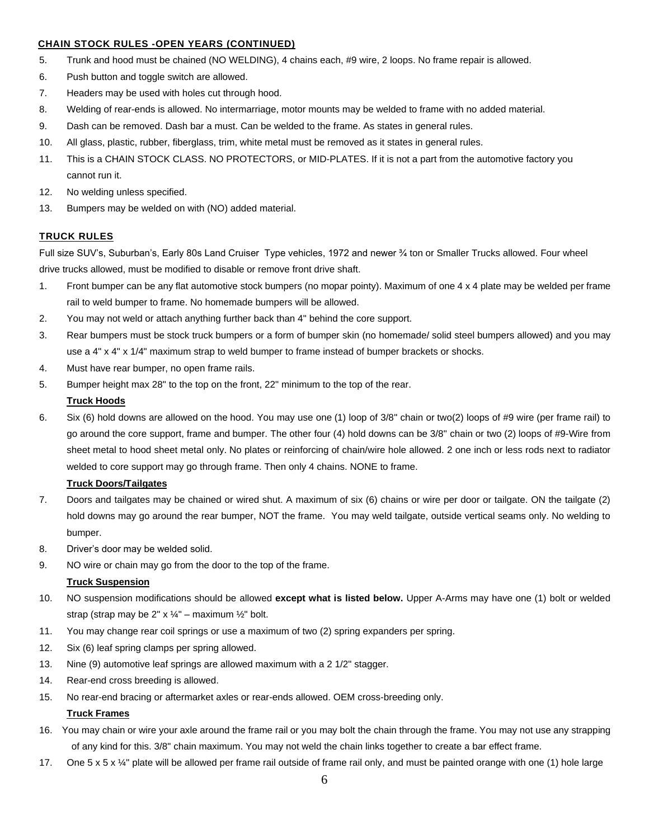### **CHAIN STOCK RULES -OPEN YEARS (CONTINUED)**

- 5. Trunk and hood must be chained (NO WELDING), 4 chains each, #9 wire, 2 loops. No frame repair is allowed.
- 6. Push button and toggle switch are allowed.
- 7. Headers may be used with holes cut through hood.
- 8. Welding of rear-ends is allowed. No intermarriage, motor mounts may be welded to frame with no added material.
- 9. Dash can be removed. Dash bar a must. Can be welded to the frame. As states in general rules.
- 10. All glass, plastic, rubber, fiberglass, trim, white metal must be removed as it states in general rules.
- 11. This is a CHAIN STOCK CLASS. NO PROTECTORS, or MID-PLATES. If it is not a part from the automotive factory you cannot run it.
- 12. No welding unless specified.
- 13. Bumpers may be welded on with (NO) added material.

### **TRUCK RULES**

Full size SUV's, Suburban's, Early 80s Land Cruiser Type vehicles, 1972 and newer ¾ ton or Smaller Trucks allowed. Four wheel drive trucks allowed, must be modified to disable or remove front drive shaft.

- 1. Front bumper can be any flat automotive stock bumpers (no mopar pointy). Maximum of one 4 x 4 plate may be welded per frame rail to weld bumper to frame. No homemade bumpers will be allowed.
- 2. You may not weld or attach anything further back than 4" behind the core support.
- 3. Rear bumpers must be stock truck bumpers or a form of bumper skin (no homemade/ solid steel bumpers allowed) and you may use a 4" x 4" x 1/4" maximum strap to weld bumper to frame instead of bumper brackets or shocks.
- 4. Must have rear bumper, no open frame rails.
- 5. Bumper height max 28" to the top on the front, 22" minimum to the top of the rear.

#### **Truck Hoods**

6. Six (6) hold downs are allowed on the hood. You may use one (1) loop of 3/8" chain or two(2) loops of #9 wire (per frame rail) to go around the core support, frame and bumper. The other four (4) hold downs can be 3/8" chain or two (2) loops of #9-Wire from sheet metal to hood sheet metal only. No plates or reinforcing of chain/wire hole allowed. 2 one inch or less rods next to radiator welded to core support may go through frame. Then only 4 chains. NONE to frame.

#### **Truck Doors/Tailgates**

- 7. Doors and tailgates may be chained or wired shut. A maximum of six (6) chains or wire per door or tailgate. ON the tailgate (2) hold downs may go around the rear bumper, NOT the frame. You may weld tailgate, outside vertical seams only. No welding to bumper.
- 8. Driver's door may be welded solid.
- 9. NO wire or chain may go from the door to the top of the frame.

#### **Truck Suspension**

- 10. NO suspension modifications should be allowed **except what is listed below.** Upper A-Arms may have one (1) bolt or welded strap (strap may be  $2" \times \frac{1}{4}$ " – maximum  $\frac{1}{2}$ " bolt.
- 11. You may change rear coil springs or use a maximum of two (2) spring expanders per spring.
- 12. Six (6) leaf spring clamps per spring allowed.
- 13. Nine (9) automotive leaf springs are allowed maximum with a 2 1/2" stagger.
- 14. Rear-end cross breeding is allowed.
- 15. No rear-end bracing or aftermarket axles or rear-ends allowed. OEM cross-breeding only.

### **Truck Frames**

- 16. You may chain or wire your axle around the frame rail or you may bolt the chain through the frame. You may not use any strapping of any kind for this. 3/8" chain maximum. You may not weld the chain links together to create a bar effect frame.
- 17. One 5 x 5 x ¼" plate will be allowed per frame rail outside of frame rail only, and must be painted orange with one (1) hole large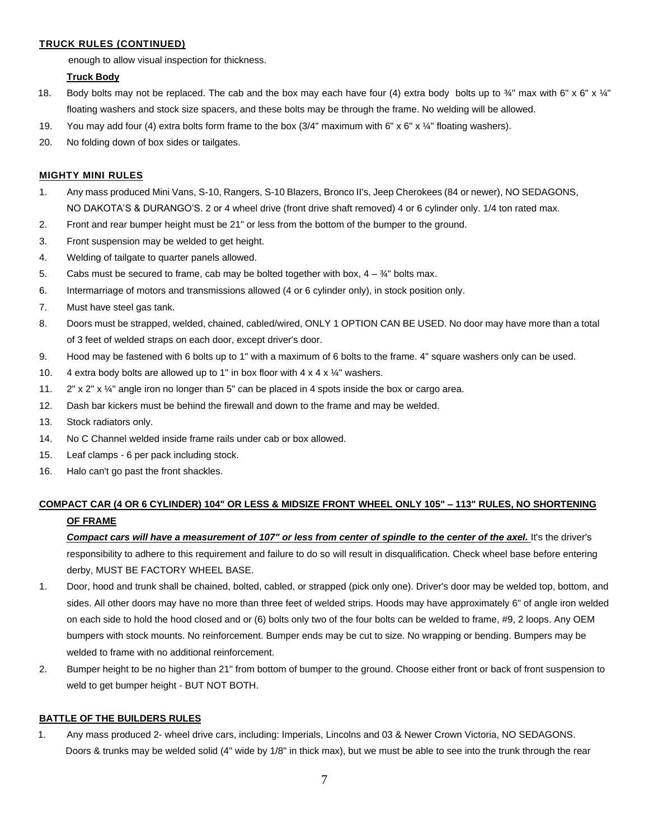### **TRUCK RULES (CONTINUED)**

enough to allow visual inspection for thickness.

#### **Truck Body**

- 18. Body bolts may not be replaced. The cab and the box may each have four (4) extra body bolts up to  $\frac{3}{4}$ " max with 6" x 6" x 1/4" floating washers and stock size spacers, and these bolts may be through the frame. No welding will be allowed.
- 19. You may add four (4) extra bolts form frame to the box  $(3/4"$  maximum with 6" x 6" x  $\frac{1}{4}$ " floating washers).
- 20. No folding down of box sides or tailgates.

### **MIGHTY MINI RULES**

- 1. Any mass produced Mini Vans, S-10, Rangers, S-10 Blazers, Bronco II's, Jeep Cherokees (84 or newer), NO SEDAGONS, NO DAKOTA'S & DURANGO'S. 2 or 4 wheel drive (front drive shaft removed) 4 or 6 cylinder only. 1/4 ton rated max.
- 2. Front and rear bumper height must be 21" or less from the bottom of the bumper to the ground.
- 3. Front suspension may be welded to get height.
- 4. Welding of tailgate to quarter panels allowed.
- 5. Cabs must be secured to frame, cab may be bolted together with box,  $4 \frac{3}{4}$ " bolts max.
- 6. Intermarriage of motors and transmissions allowed (4 or 6 cylinder only), in stock position only.
- 7. Must have steel gas tank.
- 8. Doors must be strapped, welded, chained, cabled/wired, ONLY 1 OPTION CAN BE USED. No door may have more than a total of 3 feet of welded straps on each door, except driver's door.
- 9. Hood may be fastened with 6 bolts up to 1" with a maximum of 6 bolts to the frame. 4" square washers only can be used.
- 10. 4 extra body bolts are allowed up to 1" in box floor with  $4 \times 4 \times 1/4$ " washers.
- 11.  $2'' \times 2'' \times 1/4''$  angle iron no longer than 5" can be placed in 4 spots inside the box or cargo area.
- 12. Dash bar kickers must be behind the firewall and down to the frame and may be welded.
- 13. Stock radiators only.
- 14. No C Channel welded inside frame rails under cab or box allowed.
- 15. Leaf clamps 6 per pack including stock.
- 16. Halo can't go past the front shackles.

## **COMPACT CAR (4 OR 6 CYLINDER) 104" OR LESS & MIDSIZE FRONT WHEEL ONLY 105" – 113" RULES, NO SHORTENING OF FRAME**

*Compact cars will have a measurement of 107" or less from center of spindle to the center of the axel.* It's the driver's responsibility to adhere to this requirement and failure to do so will result in disqualification. Check wheel base before entering derby, MUST BE FACTORY WHEEL BASE.

- 1. Door, hood and trunk shall be chained, bolted, cabled, or strapped (pick only one). Driver's door may be welded top, bottom, and sides. All other doors may have no more than three feet of welded strips. Hoods may have approximately 6" of angle iron welded on each side to hold the hood closed and or (6) bolts only two of the four bolts can be welded to frame, #9, 2 loops. Any OEM bumpers with stock mounts. No reinforcement. Bumper ends may be cut to size. No wrapping or bending. Bumpers may be welded to frame with no additional reinforcement.
- 2. Bumper height to be no higher than 21" from bottom of bumper to the ground. Choose either front or back of front suspension to weld to get bumper height - BUT NOT BOTH.

#### **BATTLE OF THE BUILDERS RULES**

1. Any mass produced 2- wheel drive cars, including: Imperials, Lincolns and 03 & Newer Crown Victoria, NO SEDAGONS. Doors & trunks may be welded solid (4" wide by 1/8" in thick max), but we must be able to see into the trunk through the rear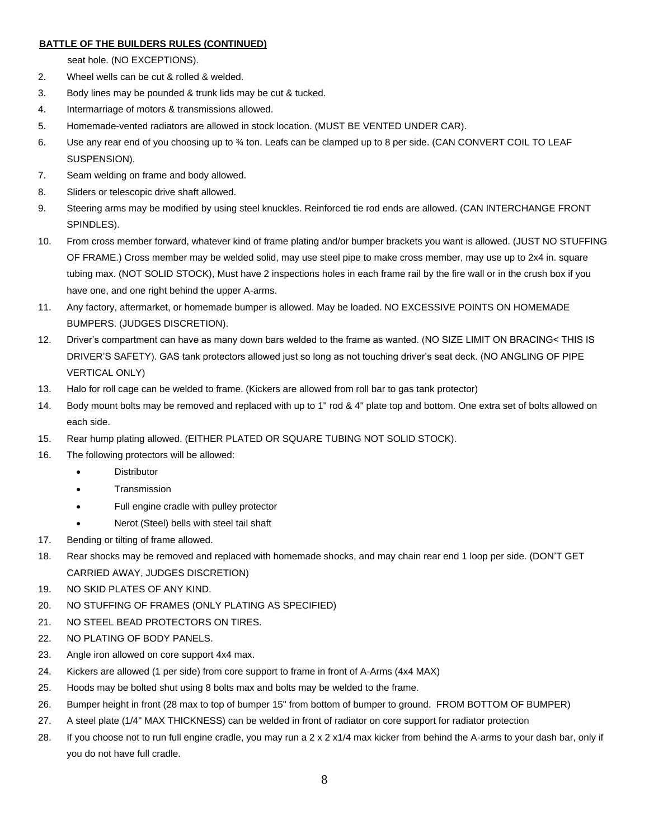### **BATTLE OF THE BUILDERS RULES (CONTINUED)**

seat hole. (NO EXCEPTIONS).

- 2. Wheel wells can be cut & rolled & welded.
- 3. Body lines may be pounded & trunk lids may be cut & tucked.
- 4. Intermarriage of motors & transmissions allowed.
- 5. Homemade-vented radiators are allowed in stock location. (MUST BE VENTED UNDER CAR).
- 6. Use any rear end of you choosing up to ¾ ton. Leafs can be clamped up to 8 per side. (CAN CONVERT COIL TO LEAF SUSPENSION).
- 7. Seam welding on frame and body allowed.
- 8. Sliders or telescopic drive shaft allowed.
- 9. Steering arms may be modified by using steel knuckles. Reinforced tie rod ends are allowed. (CAN INTERCHANGE FRONT SPINDLES).
- 10. From cross member forward, whatever kind of frame plating and/or bumper brackets you want is allowed. (JUST NO STUFFING OF FRAME.) Cross member may be welded solid, may use steel pipe to make cross member, may use up to 2x4 in. square tubing max. (NOT SOLID STOCK), Must have 2 inspections holes in each frame rail by the fire wall or in the crush box if you have one, and one right behind the upper A-arms.
- 11. Any factory, aftermarket, or homemade bumper is allowed. May be loaded. NO EXCESSIVE POINTS ON HOMEMADE BUMPERS. (JUDGES DISCRETION).
- 12. Driver's compartment can have as many down bars welded to the frame as wanted. (NO SIZE LIMIT ON BRACING< THIS IS DRIVER'S SAFETY). GAS tank protectors allowed just so long as not touching driver's seat deck. (NO ANGLING OF PIPE VERTICAL ONLY)
- 13. Halo for roll cage can be welded to frame. (Kickers are allowed from roll bar to gas tank protector)
- 14. Body mount bolts may be removed and replaced with up to 1" rod & 4" plate top and bottom. One extra set of bolts allowed on each side.
- 15. Rear hump plating allowed. (EITHER PLATED OR SQUARE TUBING NOT SOLID STOCK).
- 16. The following protectors will be allowed:
	- Distributor
	- Transmission
	- Full engine cradle with pulley protector
	- Nerot (Steel) bells with steel tail shaft
- 17. Bending or tilting of frame allowed.
- 18. Rear shocks may be removed and replaced with homemade shocks, and may chain rear end 1 loop per side. (DON'T GET CARRIED AWAY, JUDGES DISCRETION)
- 19. NO SKID PLATES OF ANY KIND.
- 20. NO STUFFING OF FRAMES (ONLY PLATING AS SPECIFIED)
- 21. NO STEEL BEAD PROTECTORS ON TIRES.
- 22. NO PLATING OF BODY PANELS.
- 23. Angle iron allowed on core support 4x4 max.
- 24. Kickers are allowed (1 per side) from core support to frame in front of A-Arms (4x4 MAX)
- 25. Hoods may be bolted shut using 8 bolts max and bolts may be welded to the frame.
- 26. Bumper height in front (28 max to top of bumper 15" from bottom of bumper to ground. FROM BOTTOM OF BUMPER)
- 27. A steel plate (1/4" MAX THICKNESS) can be welded in front of radiator on core support for radiator protection
- 28. If you choose not to run full engine cradle, you may run a 2 x 2 x1/4 max kicker from behind the A-arms to your dash bar, only if you do not have full cradle.